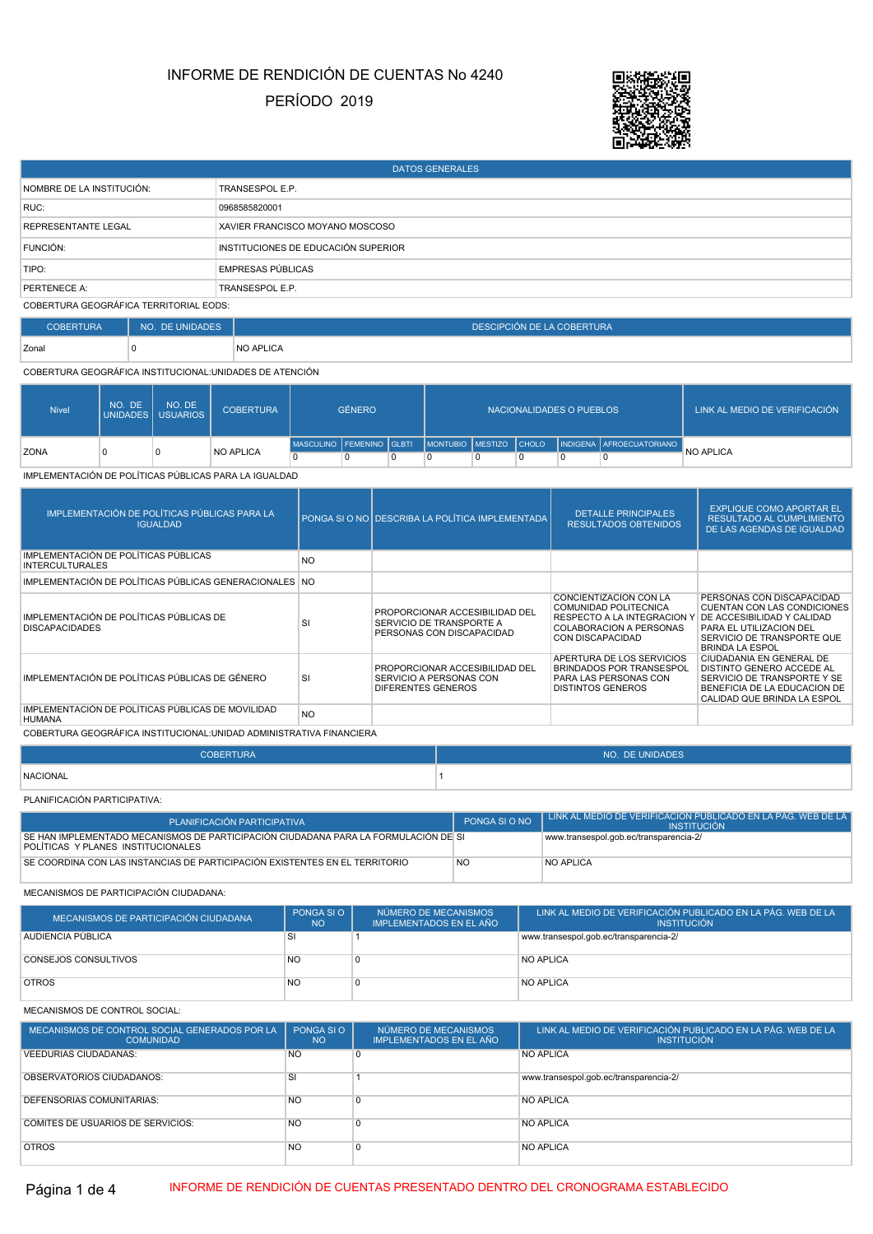# PERÍODO 2019 INFORME DE RENDICIÓN DE CUENTAS No 4240



| <b>DATOS GENERALES</b>                 |                                     |  |  |  |  |  |
|----------------------------------------|-------------------------------------|--|--|--|--|--|
| NOMBRE DE LA INSTITUCIÓN:              | TRANSESPOL E.P.                     |  |  |  |  |  |
| RUC:                                   | 0968585820001                       |  |  |  |  |  |
| REPRESENTANTE LEGAL                    | XAVIER FRANCISCO MOYANO MOSCOSO     |  |  |  |  |  |
| FUNCIÓN:                               | INSTITUCIONES DE EDUCACIÓN SUPERIOR |  |  |  |  |  |
| TIPO:                                  | <b>EMPRESAS PÚBLICAS</b>            |  |  |  |  |  |
| PERTENECE A:                           | TRANSESPOL E.P.                     |  |  |  |  |  |
| COBERTURA GEOGRÁFICA TERRITORIAL EODS: |                                     |  |  |  |  |  |

COBERTURA NO. DE UNIDADES **DESCIPCIÓN DE LA COBERTURA DESCIPCIÓN DE LA COBERTURA** 

zonal 0 NO APLICA

COBERTURA GEOGRÁFICA INSTITUCIONAL:UNIDADES DE ATENCIÓN

| <b>Nivel</b> | NO.<br>. DE | NO. DE<br>UNIDADES USUARIOS | <b>COBERTURA</b> | <b>GÉNERO</b> |  |   | NACIONALIDADES O PUEBLOS | LINK AL MEDIO DE VERIFICACIÓN |                                                                          |           |
|--------------|-------------|-----------------------------|------------------|---------------|--|---|--------------------------|-------------------------------|--------------------------------------------------------------------------|-----------|
|              |             |                             |                  |               |  |   |                          |                               | MASCULINO FEMENINO GLBTI MONTUBIO MESTIZO CHOLO INDIGENA AFROECUATORIANO |           |
| <b>ZONA</b>  |             | 0                           | <b>NO APLICA</b> |               |  | n |                          |                               |                                                                          | NO APLICA |

IMPLEMENTACIÓN DE POLÍTICAS PÚBLICAS PARA LA IGUALDAD

| IMPLEMENTACIÓN DE POLÍTICAS PÚBLICAS PARA LA<br><b>IGUALDAD</b>    |                | PONGA SI O NO DESCRIBA LA POLÍTICA IMPLEMENTADA                                         | <b>DETALLE PRINCIPALES</b><br><b>RESULTADOS OBTENIDOS</b>                                                                          | <b>EXPLIQUE COMO APORTAR EL</b><br><b>RESULTADO AL CUMPLIMIENTO</b><br>DE LAS AGENDAS DE IGUALDAD                                                                                |
|--------------------------------------------------------------------|----------------|-----------------------------------------------------------------------------------------|------------------------------------------------------------------------------------------------------------------------------------|----------------------------------------------------------------------------------------------------------------------------------------------------------------------------------|
| IMPLEMENTACIÓN DE POLÍTICAS PÚBLICAS<br><b>INTERCULTURALES</b>     | <b>NO</b>      |                                                                                         |                                                                                                                                    |                                                                                                                                                                                  |
| IMPLEMENTACIÓN DE POLÍTICAS PÚBLICAS GENERACIONALES NO             |                |                                                                                         |                                                                                                                                    |                                                                                                                                                                                  |
| IMPLEMENTACIÓN DE POLÍTICAS PÚBLICAS DE<br><b>DISCAPACIDADES</b>   | <b>SI</b>      | PROPORCIONAR ACCESIBILIDAD DEL<br>SERVICIO DE TRANSPORTE A<br>PERSONAS CON DISCAPACIDAD | CONCIENTIZACION CON LA<br>COMUNIDAD POLITECNICA<br>RESPECTO A LA INTEGRACION<br>COLABORACION A PERSONAS<br><b>CON DISCAPACIDAD</b> | PERSONAS CON DISCAPACIDAD<br><b>CUENTAN CON LAS CONDICIONES</b><br>DE ACCESIBILIDAD Y CALIDAD<br>PARA EL UTILIZACION DEL<br>SERVICIO DE TRANSPORTE QUE<br><b>BRINDA LA ESPOL</b> |
| IMPLEMENTACIÓN DE POLÍTICAS PÚBLICAS DE GÉNERO                     | <b>SI</b>      | PROPORCIONAR ACCESIBILIDAD DEL<br>SERVICIO A PERSONAS CON<br>DIFERENTES GENEROS         | APERTURA DE LOS SERVICIOS<br><b>BRINDADOS POR TRANSESPOL</b><br>PARA LAS PERSONAS CON<br><b>DISTINTOS GENEROS</b>                  | CIUDADANIA EN GENERAL DE<br>DISTINTO GENERO ACCEDE AL<br>SERVICIO DE TRANSPORTE Y SE<br>BENEFICIA DE LA EDUCACION DE<br>CALIDAD QUE BRINDA LA ESPOL                              |
| IMPLEMENTACIÓN DE POLÍTICAS PÚBLICAS DE MOVILIDAD<br><b>HUMANA</b> | N <sub>O</sub> |                                                                                         |                                                                                                                                    |                                                                                                                                                                                  |

COBERTURA GEOGRÁFICA INSTITUCIONAL:UNIDAD ADMINISTRATIVA FINANCIERA

| <b>COBERTURA</b> | NO. DE UNIDADES |
|------------------|-----------------|
| NACIONAL         |                 |
|                  |                 |

PLANIFICACIÓN PARTICIPATIVA:

L

| PLANIFICACIÓN PARTICIPATIVA                                                                                                 | PONGA SI O NO | LINK AL MEDIO DE VERIFICACIÓN PUBLICADO EN LA PÁG. WEB DE LA 1<br><b>INSTITUCIÓN</b> |
|-----------------------------------------------------------------------------------------------------------------------------|---------------|--------------------------------------------------------------------------------------|
| I SE HAN IMPLEMENTADO MECANISMOS DE PARTICIPACIÓN CIUDADANA PARA LA FORMULACIÓN DELSI<br>POLÍTICAS Y PLANES INSTITUCIONALES |               | www.transespol.gob.ec/transparencia-2/                                               |
| SE COORDINA CON LAS INSTANCIAS DE PARTICIPACIÓN EXISTENTES EN EL TERRITORIO                                                 | <b>NO</b>     | <b>NO APLICA</b>                                                                     |

MECANISMOS DE PARTICIPACIÓN CIUDADANA:

| MECANISMOS DE PARTICIPACIÓN CIUDADANA | PONGA SIO<br><b>NO</b> | NÚMERO DE MECANISMOS<br>IMPLEMENTADOS EN EL AÑO | LINK AL MEDIO DE VERIFICACIÓN PUBLICADO EN LA PÁG. WEB DE LA <sup>1</sup><br><b>INSTITUCIÓN</b> |
|---------------------------------------|------------------------|-------------------------------------------------|-------------------------------------------------------------------------------------------------|
| <b>AUDIENCIA PUBLICA</b>              |                        |                                                 | www.transespol.gob.ec/transparencia-2/                                                          |
| <b>CONSEJOS CONSULTIVOS</b>           | <b>NO</b>              |                                                 | <b>NO APLICA</b>                                                                                |
| <b>OTROS</b>                          | <b>NO</b>              |                                                 | NO APLICA                                                                                       |

MECANISMOS DE CONTROL SOCIAL:

| MECANISMOS DE CONTROL SOCIAL GENERADOS POR LA<br><b>COMUNIDAD</b> | PONGA SI O<br><b>NO</b> | NÚMERO DE MECANISMOS<br><b>IMPLEMENTADOS EN EL AÑO</b> | LINK AL MEDIO DE VERIFICACIÓN PUBLICADO EN LA PÁG. WEB DE LA<br><b>INSTITUCIÓN</b> |
|-------------------------------------------------------------------|-------------------------|--------------------------------------------------------|------------------------------------------------------------------------------------|
| <b>VEEDURIAS CIUDADANAS:</b>                                      | <b>NO</b>               |                                                        | <b>NO APLICA</b>                                                                   |
| OBSERVATORIOS CIUDADANOS:                                         | SI                      |                                                        | www.transespol.gob.ec/transparencia-2/                                             |
| DEFENSORIAS COMUNITARIAS:                                         | <b>NO</b>               |                                                        | NO APLICA                                                                          |
| <b>COMITÉS DE USUARIOS DE SERVICIOS:</b>                          | <b>NO</b>               |                                                        | <b>NO APLICA</b>                                                                   |
| <b>OTROS</b>                                                      | <b>NO</b>               |                                                        | <b>NO APLICA</b>                                                                   |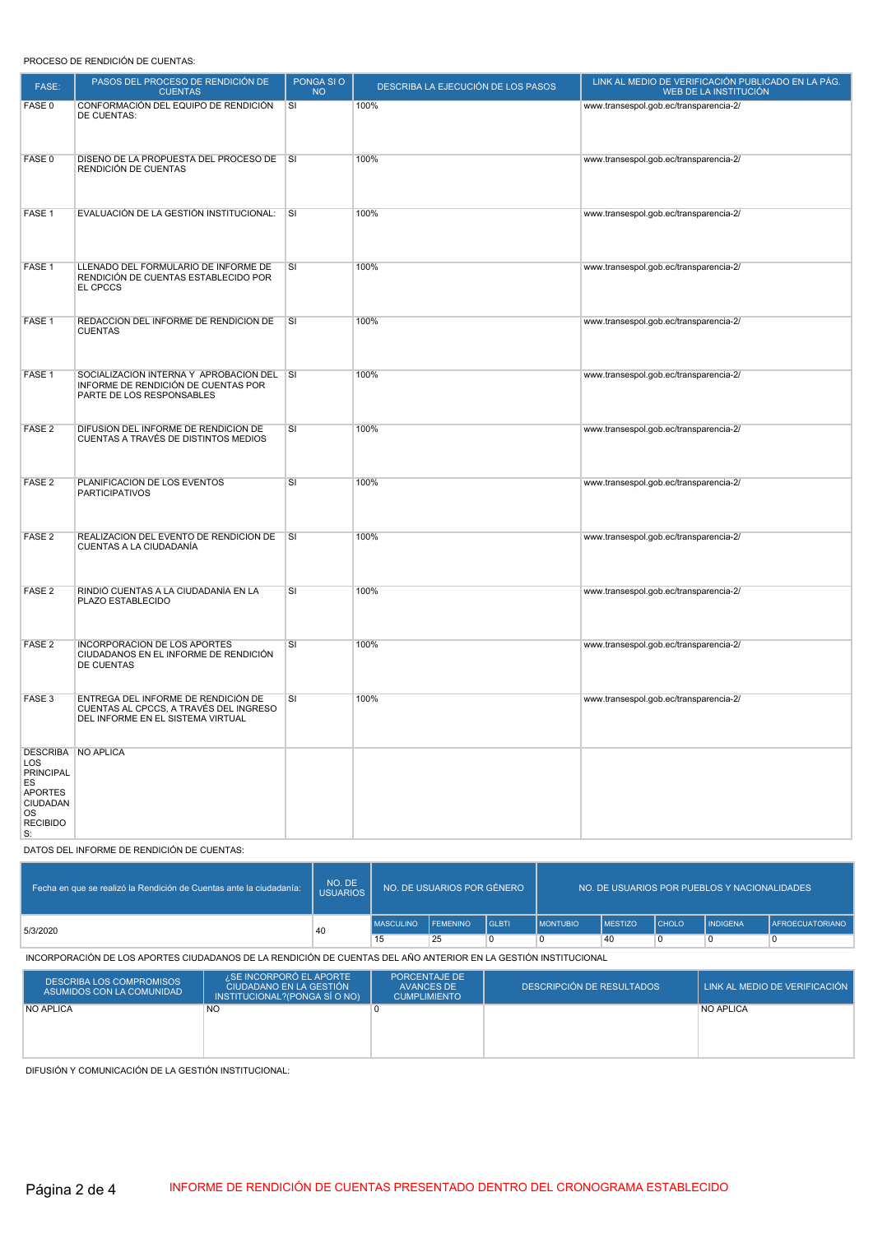# PROCESO DE RENDICIÓN DE CUENTAS:

| FASE:                                                                                             | PASOS DEL PROCESO DE RENDICIÓN DE<br><b>CUENTAS</b>                                                                | PONGA SI O<br><b>NO</b> | DESCRIBA LA EJECUCIÓN DE LOS PASOS | LINK AL MEDIO DE VERIFICACIÓN PUBLICADO EN LA PÁG.<br>WEB DE LA INSTITUCIÓN |
|---------------------------------------------------------------------------------------------------|--------------------------------------------------------------------------------------------------------------------|-------------------------|------------------------------------|-----------------------------------------------------------------------------|
| FASE 0                                                                                            | CONFORMACIÓN DEL EQUIPO DE RENDICIÓN<br>DE CUENTAS:                                                                | SI                      | 100%                               | www.transespol.gob.ec/transparencia-2/                                      |
| FASE 0                                                                                            | DISEÑO DE LA PROPUESTA DEL PROCESO DE SI<br>RENDICIÓN DE CUENTAS                                                   |                         | 100%                               | www.transespol.gob.ec/transparencia-2/                                      |
| FASE 1                                                                                            | EVALUACIÓN DE LA GESTIÓN INSTITUCIONAL:                                                                            | $\overline{\mathsf{s}}$ | 100%                               | www.transespol.gob.ec/transparencia-2/                                      |
| FASE 1                                                                                            | LLENADO DEL FORMULARIO DE INFORME DE<br>RENDICIÓN DE CUENTAS ESTABLECIDO POR<br>EL CPCCS                           | SI                      | 100%                               | www.transespol.gob.ec/transparencia-2/                                      |
| FASE 1                                                                                            | REDACCIÓN DEL INFORME DE RENDICIÓN DE<br><b>CUENTAS</b>                                                            | l SI                    | 100%                               | www.transespol.gob.ec/transparencia-2/                                      |
| FASE 1                                                                                            | SOCIALIZACIÓN INTERNA Y APROBACIÓN DEL SI<br>INFORME DE RENDICIÓN DE CUENTAS POR<br>PARTE DE LOS RESPONSABLES      |                         | 100%                               | www.transespol.gob.ec/transparencia-2/                                      |
| FASE <sub>2</sub>                                                                                 | DIFUSION DEL INFORME DE RENDICIÓN DE<br>CUENTAS A TRAVÉS DE DISTINTOS MEDIOS                                       | SI                      | 100%                               | www.transespol.gob.ec/transparencia-2/                                      |
| FASE <sub>2</sub>                                                                                 | PLANIFICACIÓN DE LOS EVENTOS<br><b>PARTICIPATIVOS</b>                                                              | SI                      | 100%                               | www.transespol.gob.ec/transparencia-2/                                      |
| FASE <sub>2</sub>                                                                                 | REALIZACIÓN DEL EVENTO DE RENDICIÓN DE<br>CUENTAS A LA CIUDADANÍA                                                  | $\overline{\mathsf{s}}$ | 100%                               | www.transespol.gob.ec/transparencia-2/                                      |
| FASE <sub>2</sub>                                                                                 | RINDIÓ CUENTAS A LA CIUDADANÍA EN LA<br>PLAZO ESTABLECIDO                                                          | SI                      | 100%                               | www.transespol.gob.ec/transparencia-2/                                      |
| FASE <sub>2</sub>                                                                                 | INCORPORACIÓN DE LOS APORTES<br>CIUDADANOS EN EL INFORME DE RENDICIÓN<br>DE CUENTAS                                | SI                      | 100%                               | www.transespol.gob.ec/transparencia-2/                                      |
| FASE 3                                                                                            | ENTREGA DEL INFORME DE RENDICIÓN DE<br>CUENTAS AL CPCCS, A TRAVÉS DEL INGRESO<br>DEL INFORME EN EL SISTEMA VIRTUAL | SI                      | 100%                               | www.transespol.gob.ec/transparencia-2/                                      |
| LOS<br>PRINCIPAL<br>ES<br><b>APORTES</b><br><b>CIUDADAN</b><br><b>OS</b><br><b>RECIBIDO</b><br>S: | <b>DESCRIBA NO APLICA</b>                                                                                          |                         |                                    |                                                                             |

DATOS DEL INFORME DE RENDICIÓN DE CUENTAS:

| Fecha en que se realizó la Rendición de Cuentas ante la ciudadanía: | NO. DE<br><b>USUARIOS</b> | NO. DE USUARIOS POR GÉNERO |                 |                | NO. DE USUARIOS POR PUEBLOS Y NACIONALIDADES |                |              |                 |                        |
|---------------------------------------------------------------------|---------------------------|----------------------------|-----------------|----------------|----------------------------------------------|----------------|--------------|-----------------|------------------------|
| 5/3/2020                                                            | 40                        | <b>MASCULINO</b>           | <b>FEMENINO</b> | <b>I</b> GLBTI | <b>IMONTUBIO</b>                             | <b>MESTIZO</b> | <b>CHOLO</b> | <b>INDIGENA</b> | <b>AFROECUATORIANO</b> |
|                                                                     |                           | 15                         | 25              |                | C                                            | 40             |              |                 |                        |

INCORPORACIÓN DE LOS APORTES CIUDADANOS DE LA RENDICIÓN DE CUENTAS DEL AÑO ANTERIOR EN LA GESTIÓN INSTITUCIONAL

| <b>DESCRIBA LOS COMPROMISOS</b><br>ASUMIDOS CON LA COMUNIDAD | <i><b>SE INCORPORÓ EL APORTE</b></i><br>LCIUDADANO EN LA GESTIÓN <sup>1</sup><br>INSTITUCIONAL?(PONGA SÍ O NO) | PORCENTAJE DE<br>AVANCES DE<br><b>CUMPLIMIENTO</b> | I DESCRIPCIÓN DE RESULTADOS " | LINK AL MEDIO DE VERIFICACIÓN |
|--------------------------------------------------------------|----------------------------------------------------------------------------------------------------------------|----------------------------------------------------|-------------------------------|-------------------------------|
| <b>NO APLICA</b>                                             | <b>NO</b>                                                                                                      |                                                    |                               | NO APLICA                     |
|                                                              |                                                                                                                |                                                    |                               |                               |
|                                                              |                                                                                                                |                                                    |                               |                               |
|                                                              |                                                                                                                |                                                    |                               |                               |
|                                                              |                                                                                                                |                                                    |                               |                               |

DIFUSIÓN Y COMUNICACIÓN DE LA GESTIÓN INSTITUCIONAL: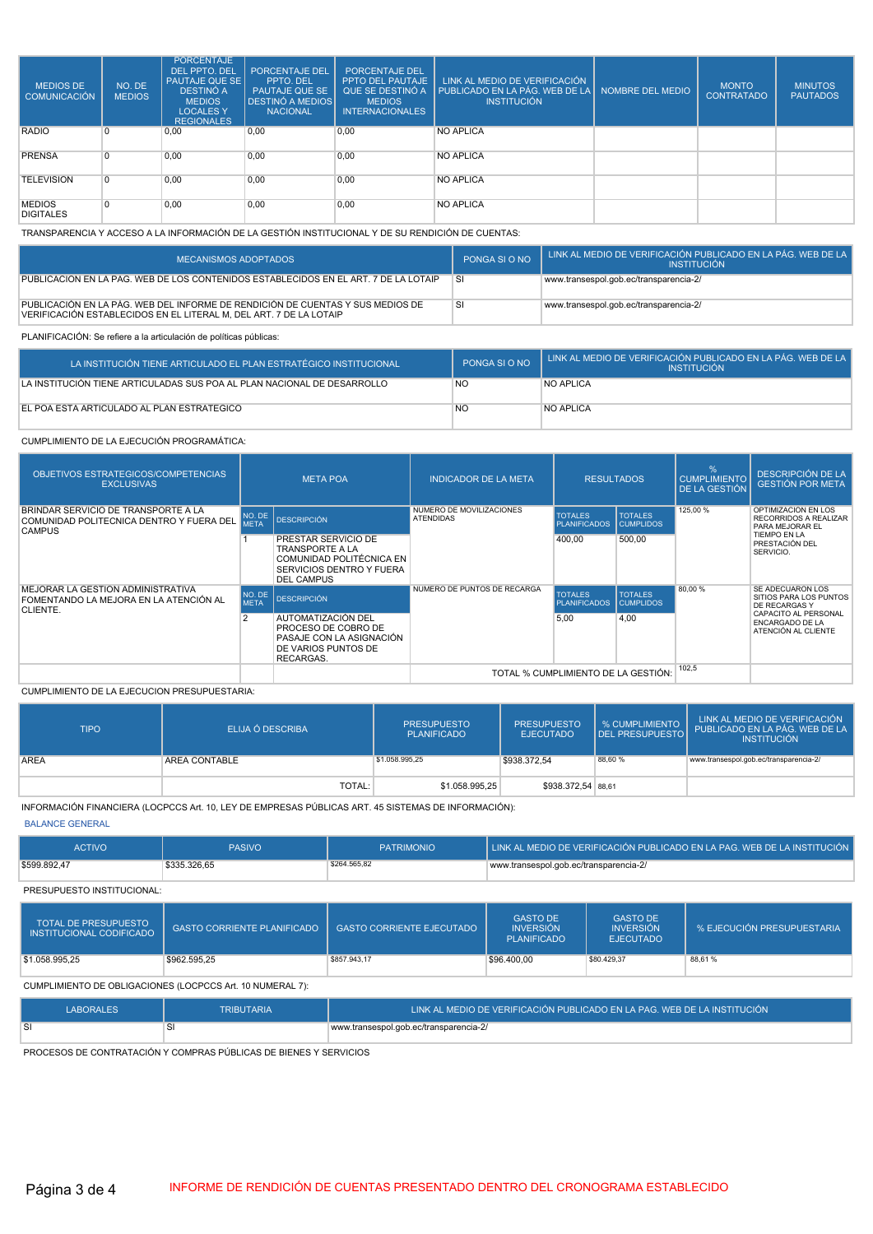| <b>MEDIOS DE</b><br>COMUNICACIÓN  | NO. DE<br><b>MEDIOS</b> | <b>PORCENTAJE</b><br>DEL PPTO, DEL<br>l PAUTAJE QUE SE l<br><b>DESTINÓ A</b><br><b>MEDIOS</b><br><b>LOCALES Y</b><br><b>REGIONALES</b> | <b>PORCENTAJE DEL</b><br>PPTO, DEL<br><b>PAUTAJE QUE SE</b><br><b>DESTINÓ A MEDIOS</b><br><b>NACIONAL</b> | PORCENTAJE DEL<br>PPTO DEL PAUTAJE<br>QUE SE DESTINÓ A<br><b>MEDIOS</b><br><b>INTERNACIONALES</b> | LINK AL MEDIO DE VERIFICACIÓN<br>PUBLICADO EN LA PÁG. WEB DE LA NOMBRE DEL MEDIO<br><b>INSTITUCIÓN</b> | <b>MONTO</b><br><b>CONTRATADO</b> | <b>MINUTOS</b><br><b>PAUTADOS</b> |
|-----------------------------------|-------------------------|----------------------------------------------------------------------------------------------------------------------------------------|-----------------------------------------------------------------------------------------------------------|---------------------------------------------------------------------------------------------------|--------------------------------------------------------------------------------------------------------|-----------------------------------|-----------------------------------|
| <b>RADIO</b>                      | 0 ا                     | 0,00                                                                                                                                   | 0.00                                                                                                      | 0.00                                                                                              | <b>NO APLICA</b>                                                                                       |                                   |                                   |
| <b>PRENSA</b>                     |                         | 0,00                                                                                                                                   | 0,00                                                                                                      | 0,00                                                                                              | <b>NO APLICA</b>                                                                                       |                                   |                                   |
| <b>TELEVISION</b>                 | 0                       | 0,00                                                                                                                                   | 0.00                                                                                                      | 0.00                                                                                              | <b>NO APLICA</b>                                                                                       |                                   |                                   |
| <b>MEDIOS</b><br><b>DIGITALES</b> | $\Omega$                | 0,00                                                                                                                                   | 0,00                                                                                                      | 0,00                                                                                              | <b>NO APLICA</b>                                                                                       |                                   |                                   |

TRANSPARENCIA Y ACCESO A LA INFORMACIÓN DE LA GESTIÓN INSTITUCIONAL Y DE SU RENDICIÓN DE CUENTAS:

| <b>MECANISMOS ADOPTADOS</b>                                                                                                                          | PONGA SI O NO | LINK AL MEDIO DE VERIFICACIÓN PUBLICADO EN LA PÁG. WEB DE LA <sup>1</sup><br><b>INSTITUCION</b> |
|------------------------------------------------------------------------------------------------------------------------------------------------------|---------------|-------------------------------------------------------------------------------------------------|
| PUBLICACIÓN EN LA PAG. WEB DE LOS CONTENIDOS ESTABLECIDOS EN EL ART. 7 DE LA LOTAIP                                                                  | ⊹SI.          | www.transespol.gob.ec/transparencia-2/                                                          |
| PUBLICACIÓN EN LA PÁG. WEB DEL INFORME DE RENDICIÓN DE CUENTAS Y SUS MEDIOS DE<br>VERIFICACIÓN ESTABLECIDOS EN EL LITERAL M, DEL ART. 7 DE LA LOTAIP | <b>SI</b>     | www.transespol.gob.ec/transparencia-2/                                                          |

# PLANIFICACIÓN: Se refiere a la articulación de políticas públicas:

| LA INSTITUCIÓN TIENE ARTICULADO EL PLAN ESTRATÉGICO INSTITUCIONAL       | PONGA SLO NO | LINK AL MEDIO DE VERIFICACIÓN PUBLICADO EN LA PÁG. WEB DE LA<br><b>INSTITUCIÓN</b> |
|-------------------------------------------------------------------------|--------------|------------------------------------------------------------------------------------|
| LA INSTITUCIÓN TIENE ARTICULADAS SUS POA AL PLAN NACIONAL DE DESARROLLO | <b>NO</b>    | <b>NO APLICA</b>                                                                   |
| EL POA ESTÀ ARTICULADO AL PLAN ESTRATÉGICO                              | <b>NO</b>    | <b>NO APLICA</b>                                                                   |

### CUMPLIMIENTO DE LA EJECUCIÓN PROGRAMÁTICA:

| OBJETIVOS ESTRATEGICOS/COMPETENCIAS<br><b>EXCLUSIVAS</b>                                           | <b>META POA</b>                     |                                                                                                                            | <b>INDICADOR DE LA META</b>                  | <b>RESULTADOS</b>                     |                                    | $\frac{1}{2}$<br><b>CUMPLIMIENTO</b><br><b>DE LA GESTIÓN</b> | <b>DESCRIPCIÓN DE LA</b><br><b>GESTIÓN POR META</b>                                                                   |
|----------------------------------------------------------------------------------------------------|-------------------------------------|----------------------------------------------------------------------------------------------------------------------------|----------------------------------------------|---------------------------------------|------------------------------------|--------------------------------------------------------------|-----------------------------------------------------------------------------------------------------------------------|
| BRINDAR SERVICIO DE TRANSPORTE A LA<br>COMUNIDAD POLITECNICA DENTRO Y FUERA DEL I<br><b>CAMPUS</b> | <b>META</b>                         | NO. DE DESCRIPCIÓN                                                                                                         | NUMERO DE MOVILIZACIONES<br><b>ATENDIDAS</b> | <b>TOTALES</b><br><b>PLANIFICADOS</b> | <b>TOTALES</b><br><b>CUMPLIDOS</b> | 125,00 %                                                     | OPTIMIZACION EN LOS<br><b>RECORRIDOS A REALIZAR</b><br>PARA MEJORAR EL<br>TIEMPO EN LA<br>PRESTACIÓN DEL<br>SERVICIO. |
|                                                                                                    |                                     | PRESTAR SERVICIO DE<br><b>TRANSPORTE A LA</b><br><b>COMUNIDAD POLITÉCNICA EN</b><br>SERVICIOS DENTRO Y FUERA<br>DEL CAMPUS |                                              | 400,00                                | 500,00                             |                                                              |                                                                                                                       |
| MEJORAR LA GESTIÓN ADMINISTRATIVA<br>FOMENTANDO LA MEJORA EN LA ATENCIÓN AL<br>CLIENTE.            |                                     | NO. DE  <br><b>DESCRIPCIÓN</b>                                                                                             | NÚMERO DE PUNTOS DE RECARGA                  | <b>TOTALES</b><br><b>PLANIFICADOS</b> | <b>TOTALES</b><br><b>CUMPLIDOS</b> | 80,00 %                                                      | SE ADECUARON LOS<br>SITIOS PARA LOS PUNTOS<br>DE RECARGAS Y                                                           |
|                                                                                                    |                                     | AUTOMATIZACIÓN DEL<br>PROCESO DE COBRO DE<br>PASAJE CON LA ASIGNACIÓN<br>DE VARIOS PUNTOS DE<br>RECARGAS.                  |                                              | 5.00                                  | 4,00                               |                                                              | CAPACITO AL PERSONAL<br><b>ENCARGADO DE LA</b><br>ATENCIÓN AL CLIENTE                                                 |
|                                                                                                    | TOTAL % CUMPLIMIENTO DE LA GESTIÓN: |                                                                                                                            |                                              | 102,5                                 |                                    |                                                              |                                                                                                                       |

#### CUMPLIMIENTO DE LA EJECUCION PRESUPUESTARIA:

| <b>TIPO</b> | ELIJA Ó DESCRIBA | <b>PRESUPUESTO</b><br><b>PLANIFICADO</b> | <b>PRESUPUESTO</b><br><b>EJECUTADO</b> |         | LINK AL MEDIO DE VERIFICACIÓN<br>DEL PRESUPUESTO PUBLICADO EN LA PÁG. WEB DE LA<br><b>INSTITUCIÓN</b> |
|-------------|------------------|------------------------------------------|----------------------------------------|---------|-------------------------------------------------------------------------------------------------------|
| <b>AREA</b> | AREA CONTABLE    | \$1.058.995,25                           | \$938.372,54                           | 88,60 % | www.transespol.gob.ec/transparencia-2/                                                                |
|             | <b>TOTAL:</b>    | \$1.058.995.25                           | \$938.372,54 88,61                     |         |                                                                                                       |

### INFORMACIÓN FINANCIERA (LOCPCCS Art. 10, LEY DE EMPRESAS PÚBLICAS ART. 45 SISTEMAS DE INFORMACIÓN):

### BALANCE GENERAL

| <b>ACTIVO</b> | <b>PASIVO</b> | <b>PATRIMONIO</b> | LINK AL MEDIO DE VERIFICACIÓN PUBLICADO EN LA PAG. WEB DE LA INSTITUCIÓN <sup>1</sup> |
|---------------|---------------|-------------------|---------------------------------------------------------------------------------------|
| \$599.892.47  | \$335.326.65  | \$264.565,82      | www.transespol.gob.ec/transparencia-2/                                                |

PRESUPUESTO INSTITUCIONAL:

| <b>TOTAL DE PRESUPUESTO</b><br>INSTITUCIONAL CODIFICADO   | <b>GASTO CORRIENTE PLANIFICADO</b> | <b>GASTO CORRIENTE EJECUTADO</b>                                                                         | <b>GASTO DE</b><br><b>INVERSIÓN</b><br><b>PLANIFICADO</b> | <b>GASTO DE</b><br><b>INVERSIÓN</b><br><b>EJECUTADO</b> | % EJECUCIÓN PRESUPUESTARIA |  |  |
|-----------------------------------------------------------|------------------------------------|----------------------------------------------------------------------------------------------------------|-----------------------------------------------------------|---------------------------------------------------------|----------------------------|--|--|
| \$1.058.995,25                                            | \$962.595.25                       | \$857,943.17                                                                                             | \$96,400.00                                               | \$80,429.37                                             | 88.61%                     |  |  |
| CUMPLIMIENTO DE OBLIGACIONES (LOCPCCS Art. 10 NUMERAL 7): |                                    |                                                                                                          |                                                           |                                                         |                            |  |  |
| <b>LABORALES</b>                                          | <b>TRIBUTARIA</b>                  | <u>I LINK AL MEDIO DE VERIFICACIÓN PUBLICADO EN LA PAG. WEB DE LA INSTITUCIÓN <math>^{\prime}</math></u> |                                                           |                                                         |                            |  |  |
| SI                                                        |                                    | www.transespol.gob.ec/transparencia-2/                                                                   |                                                           |                                                         |                            |  |  |

PROCESOS DE CONTRATACIÓN Y COMPRAS PÚBLICAS DE BIENES Y SERVICIOS